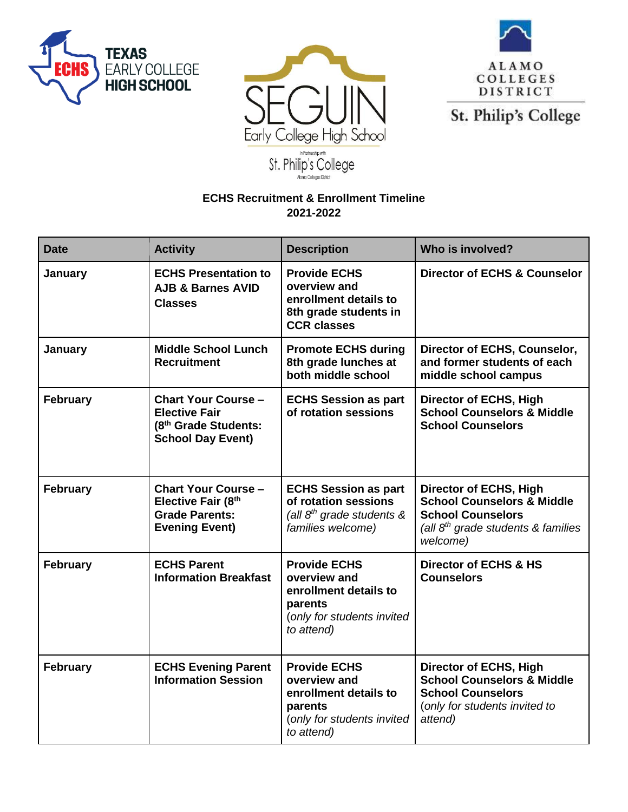





St. Philip's College

## **ECHS Recruitment & Enrollment Timeline 2021-2022**

| <b>Date</b>     | <b>Activity</b>                                                                                        | <b>Description</b>                                                                                                  | Who is involved?                                                                                                                                                 |
|-----------------|--------------------------------------------------------------------------------------------------------|---------------------------------------------------------------------------------------------------------------------|------------------------------------------------------------------------------------------------------------------------------------------------------------------|
| January         | <b>ECHS Presentation to</b><br><b>AJB &amp; Barnes AVID</b><br><b>Classes</b>                          | <b>Provide ECHS</b><br>overview and<br>enrollment details to<br>8th grade students in<br><b>CCR classes</b>         | <b>Director of ECHS &amp; Counselor</b>                                                                                                                          |
| January         | <b>Middle School Lunch</b><br><b>Recruitment</b>                                                       | <b>Promote ECHS during</b><br>8th grade lunches at<br>both middle school                                            | Director of ECHS, Counselor,<br>and former students of each<br>middle school campus                                                                              |
| <b>February</b> | <b>Chart Your Course -</b><br><b>Elective Fair</b><br>(8th Grade Students:<br><b>School Day Event)</b> | <b>ECHS Session as part</b><br>of rotation sessions                                                                 | <b>Director of ECHS, High</b><br><b>School Counselors &amp; Middle</b><br><b>School Counselors</b>                                                               |
| <b>February</b> | <b>Chart Your Course -</b><br>Elective Fair (8th<br><b>Grade Parents:</b><br><b>Evening Event)</b>     | <b>ECHS Session as part</b><br>of rotation sessions<br>(all $8th$ grade students &<br>families welcome)             | <b>Director of ECHS, High</b><br><b>School Counselors &amp; Middle</b><br><b>School Counselors</b><br>(all 8 <sup>th</sup> grade students & families<br>welcome) |
| <b>February</b> | <b>ECHS Parent</b><br><b>Information Breakfast</b>                                                     | <b>Provide ECHS</b><br>overview and<br>enrollment details to<br>parents<br>(only for students invited<br>to attend) | <b>Director of ECHS &amp; HS</b><br><b>Counselors</b>                                                                                                            |
| <b>February</b> | <b>ECHS Evening Parent</b><br><b>Information Session</b>                                               | <b>Provide ECHS</b><br>overview and<br>enrollment details to<br>parents<br>(only for students invited<br>to attend) | <b>Director of ECHS, High</b><br><b>School Counselors &amp; Middle</b><br><b>School Counselors</b><br>(only for students invited to<br>attend)                   |